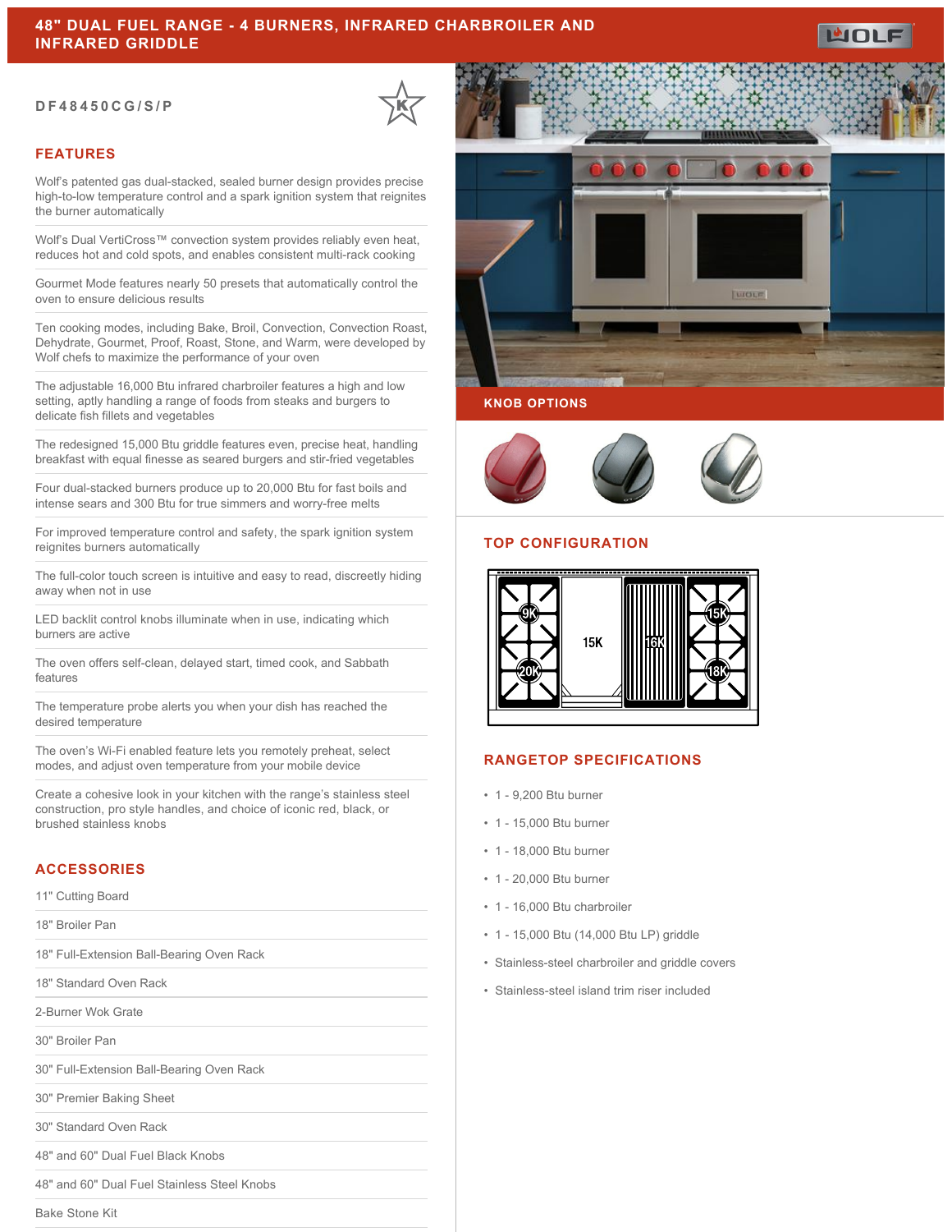#### **DF48450CG/S/P**

# **FEATURES**

Wolf's patented gas dual-stacked, sealed burner design provides precise high-to-low temperature control and a spark ignition system that reignites the burner automatically

Wolf's Dual VertiCross™ convection system provides reliably even heat, reduces hot and cold spots, and enables consistent multi-rack cooking

Gourmet Mode features nearly 50 presets that automatically control the oven to ensure delicious results

Ten cooking modes, including Bake, Broil, Convection, Convection Roast, Dehydrate, Gourmet, Proof, Roast, Stone, and Warm, were developed by Wolf chefs to maximize the performance of your oven

The adjustable 16,000 Btu infrared charbroiler features a high and low setting, aptly handling a range of foods from steaks and burgers to delicate fish fillets and vegetables

The redesigned 15,000 Btu griddle features even, precise heat, handling breakfast with equal finesse as seared burgers and stir-fried vegetables

Four dual-stacked burners produce up to 20,000 Btu for fast boils and intense sears and 300 Btu for true simmers and worry-free melts

For improved temperature control and safety, the spark ignition system reignites burners automatically

The full-color touch screen is intuitive and easy to read, discreetly hiding away when not in use

LED backlit control knobs illuminate when in use, indicating which burners are active

The oven offers self-clean, delayed start, timed cook, and Sabbath features

The temperature probe alerts you when your dish has reached the desired temperature

The oven's Wi-Fi enabled feature lets you remotely preheat, select modes, and adjust oven temperature from your mobile device

Create a cohesive look in your kitchen with the range's stainless steel construction, pro style handles, and choice of iconic red, black, or brushed stainless knobs

### **ACCESSORIES**

11" Cutting Board

18" Broiler Pan

18" Full-Extension Ball-Bearing Oven Rack

18" Standard Oven Rack

2-Burner Wok Grate

30" Broiler Pan

30" Full-Extension Ball-Bearing Oven Rack

30" Premier Baking Sheet

30" Standard Oven Rack

48" and 60" Dual Fuel Black Knobs

48" and 60" Dual Fuel Stainless Steel Knobs

Bake Stone Kit



#### **KNOB OPTIONS**



# **TOP CONFIGURATION**



### **RANGETOP SPECIFICATIONS**

- 1 9,200 Btu burner
- 1 15,000 Btu burner
- 1 18,000 Btu burner
- 1 20,000 Btu burner
- 1 16,000 Btu charbroiler
- 1 15,000 Btu (14,000 Btu LP) griddle
- Stainless-steel charbroiler and griddle covers
- Stainless-steel island trim riser included

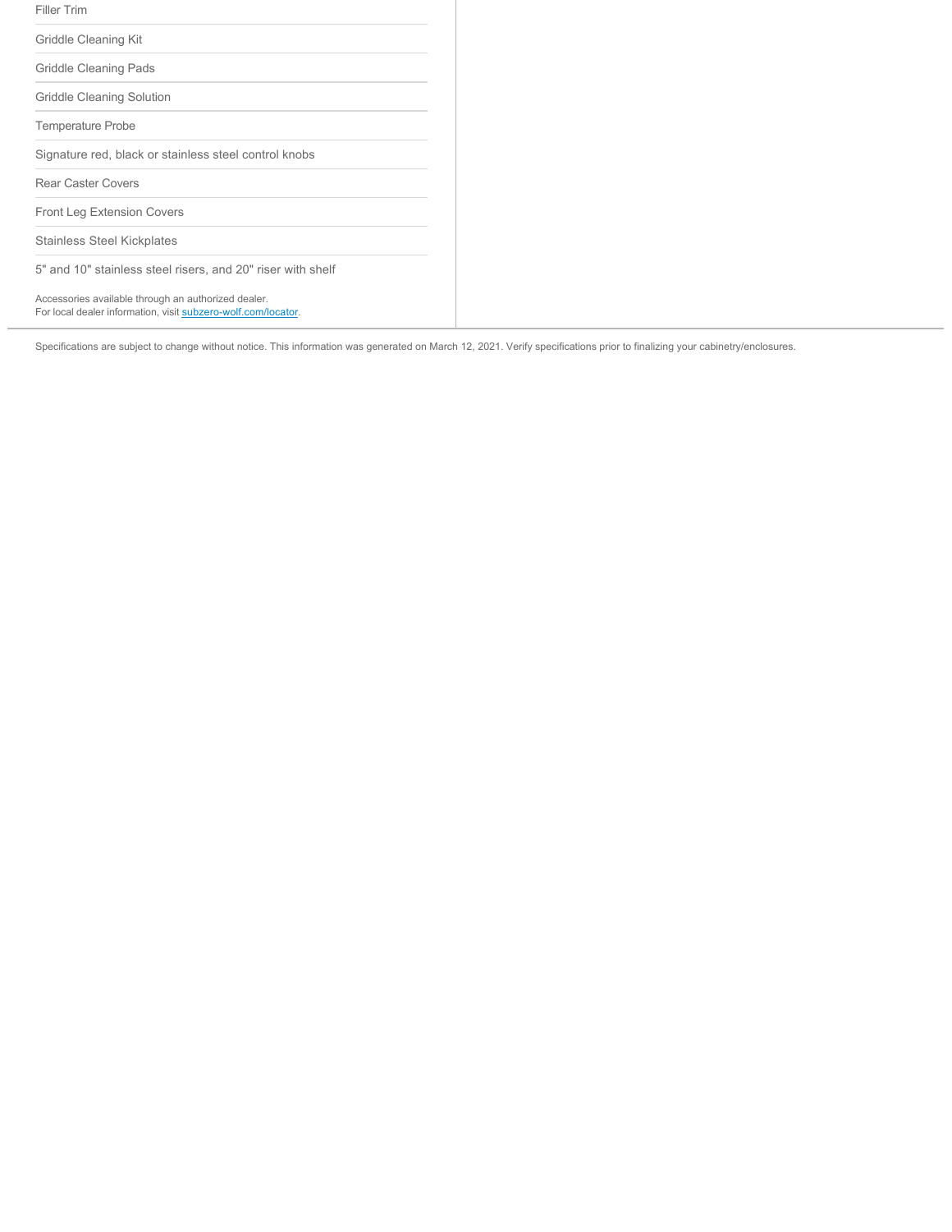| Filler Trim                                                                                                          |
|----------------------------------------------------------------------------------------------------------------------|
| <b>Griddle Cleaning Kit</b>                                                                                          |
| <b>Griddle Cleaning Pads</b>                                                                                         |
| <b>Griddle Cleaning Solution</b>                                                                                     |
| <b>Temperature Probe</b>                                                                                             |
| Signature red, black or stainless steel control knobs                                                                |
| <b>Rear Caster Covers</b>                                                                                            |
| Front Leg Extension Covers                                                                                           |
| <b>Stainless Steel Kickplates</b>                                                                                    |
| 5" and 10" stainless steel risers, and 20" riser with shelf                                                          |
| Accessories available through an authorized dealer.<br>For local dealer information, visit subzero-wolf.com/locator. |

Specifications are subject to change without notice. This information was generated on March 12, 2021. Verify specifications prior to finalizing your cabinetry/enclosures.